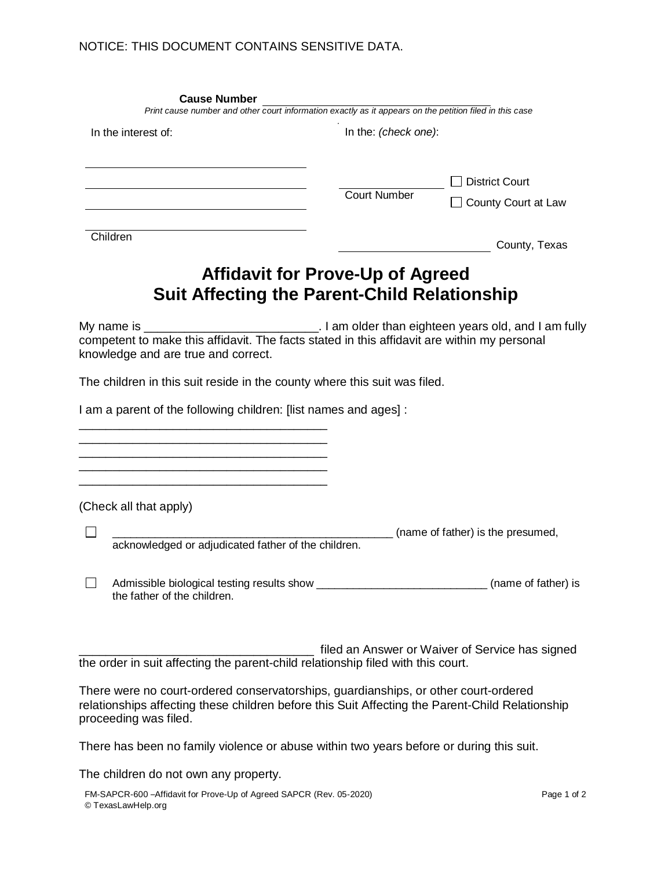| <b>Cause Number</b>                                                                                                                                                                                             | Print cause number and other court information exactly as it appears on the petition filed in this case |                                                 |
|-----------------------------------------------------------------------------------------------------------------------------------------------------------------------------------------------------------------|---------------------------------------------------------------------------------------------------------|-------------------------------------------------|
| In the interest of:                                                                                                                                                                                             | In the: (check one):                                                                                    |                                                 |
|                                                                                                                                                                                                                 | <b>Court Number</b>                                                                                     | <b>District Court</b><br>County Court at Law    |
| Children                                                                                                                                                                                                        |                                                                                                         | County, Texas                                   |
|                                                                                                                                                                                                                 | <b>Affidavit for Prove-Up of Agreed</b><br><b>Suit Affecting the Parent-Child Relationship</b>          |                                                 |
| competent to make this affidavit. The facts stated in this affidavit are within my personal<br>knowledge and are true and correct.                                                                              |                                                                                                         |                                                 |
| The children in this suit reside in the county where this suit was filed.                                                                                                                                       |                                                                                                         |                                                 |
| I am a parent of the following children: [list names and ages] :                                                                                                                                                |                                                                                                         |                                                 |
|                                                                                                                                                                                                                 |                                                                                                         |                                                 |
|                                                                                                                                                                                                                 |                                                                                                         |                                                 |
|                                                                                                                                                                                                                 |                                                                                                         |                                                 |
| (Check all that apply)                                                                                                                                                                                          |                                                                                                         |                                                 |
|                                                                                                                                                                                                                 |                                                                                                         | (name of father) is the presumed,               |
| acknowledged or adjudicated father of the children.                                                                                                                                                             |                                                                                                         |                                                 |
| $\Box$<br>Admissible biological testing results show _______________________________(name of father) is<br>the father of the children.                                                                          |                                                                                                         |                                                 |
| the order in suit affecting the parent-child relationship filed with this court.                                                                                                                                |                                                                                                         | filed an Answer or Waiver of Service has signed |
|                                                                                                                                                                                                                 |                                                                                                         |                                                 |
| There were no court-ordered conservatorships, guardianships, or other court-ordered<br>relationships affecting these children before this Suit Affecting the Parent-Child Relationship<br>proceeding was filed. |                                                                                                         |                                                 |
| There has been no family violence or abuse within two years before or during this suit.                                                                                                                         |                                                                                                         |                                                 |
| The children do not own any property.                                                                                                                                                                           |                                                                                                         |                                                 |
| FM-SAPCR-600-Affidavit for Prove-Up of Agreed SAPCR (Rev. 05-2020)                                                                                                                                              |                                                                                                         | Page 1 of 2                                     |